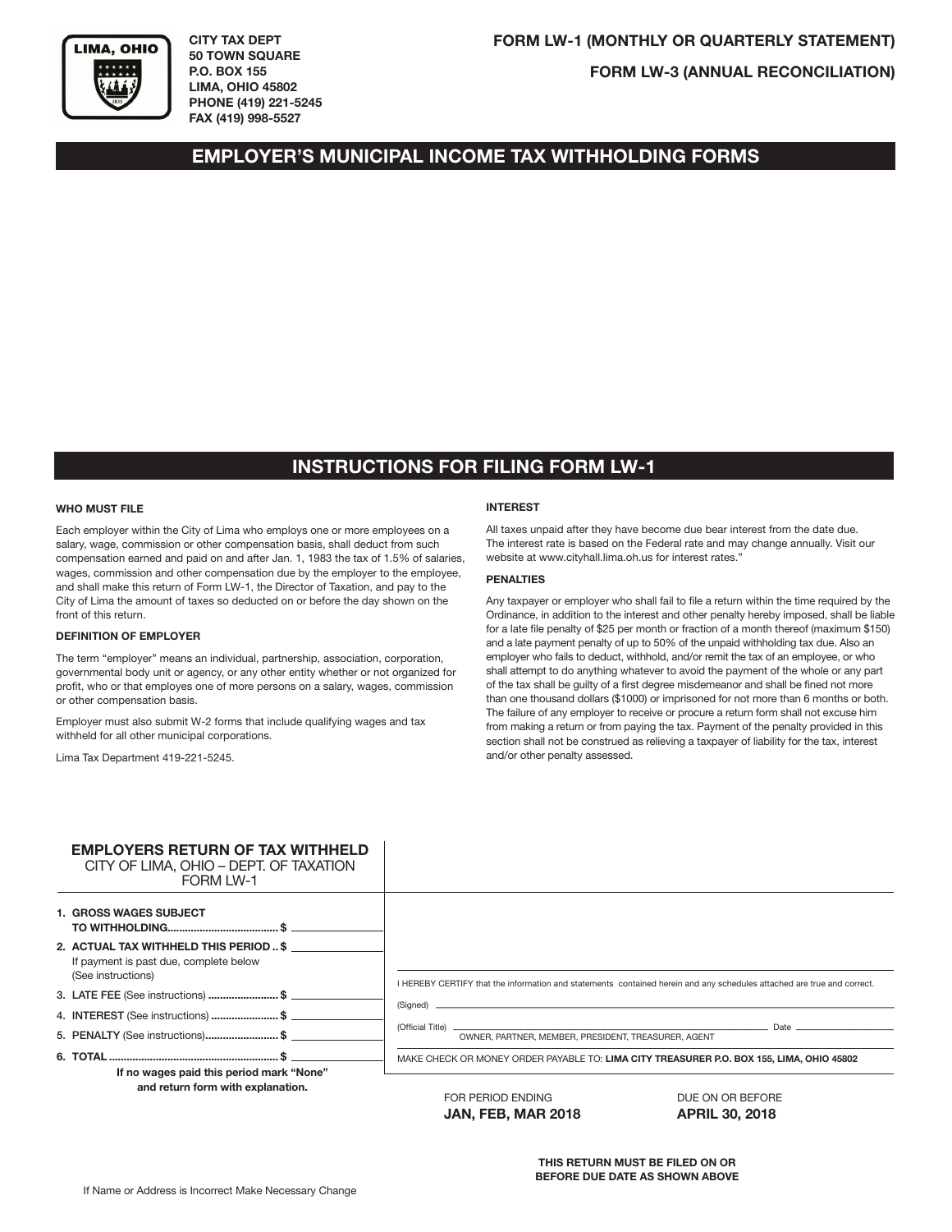

**CITY TAX DEPT 50 TOWN SQUARE P.O. BOX 155 LIMA, OHIO 45802 PHONE (419) 221-5245 FAX (419) 998-5527**

**FORM LW-3 (ANNUAL RECONCILIATION)**

## **EMPLOYER'S MUNICIPAL INCOME TAX WITHHOLDING FORMS**

# **INSTRUCTIONS FOR FILING FORM LW-1**

#### **WHO MUST FILE**

Each employer within the City of Lima who employs one or more employees on a salary, wage, commission or other compensation basis, shall deduct from such compensation earned and paid on and after Jan. 1, 1983 the tax of 1.5% of salaries, wages, commission and other compensation due by the employer to the employee, and shall make this return of Form LW-1, the Director of Taxation, and pay to the City of Lima the amount of taxes so deducted on or before the day shown on the front of this return.

#### **DEFINITION OF EMPLOYER**

The term "employer" means an individual, partnership, association, corporation, governmental body unit or agency, or any other entity whether or not organized for profit, who or that employes one of more persons on a salary, wages, commission or other compensation basis.

Employer must also submit W-2 forms that include qualifying wages and tax withheld for all other municipal corporations.

Lima Tax Department 419-221-5245.

#### **INTEREST**

All taxes unpaid after they have become due bear interest from the date due. The interest rate is based on the Federal rate and may change annually. Visit our website at www.cityhall.lima.oh.us for interest rates."

### **PENALTIES**

Any taxpayer or employer who shall fail to file a return within the time required by the Ordinance, in addition to the interest and other penalty hereby imposed, shall be liable for a late file penalty of \$25 per month or fraction of a month thereof (maximum \$150) and a late payment penalty of up to 50% of the unpaid withholding tax due. Also an employer who fails to deduct, withhold, and/or remit the tax of an employee, or who shall attempt to do anything whatever to avoid the payment of the whole or any part of the tax shall be guilty of a first degree misdemeanor and shall be fined not more than one thousand dollars (\$1000) or imprisoned for not more than 6 months or both. The failure of any employer to receive or procure a return form shall not excuse him from making a return or from paying the tax. Payment of the penalty provided in this section shall not be construed as relieving a taxpayer of liability for the tax, interest and/or other penalty assessed.

| <b>EMPLOYERS RETURN OF TAX WITHHELD</b><br>CITY OF LIMA, OHIO - DEPT. OF TAXATION<br><b>FORM LW-1</b>  |                                                                                          |                                                                                                                                                                                                                                |
|--------------------------------------------------------------------------------------------------------|------------------------------------------------------------------------------------------|--------------------------------------------------------------------------------------------------------------------------------------------------------------------------------------------------------------------------------|
| <b>1. GROSS WAGES SUBJECT</b>                                                                          |                                                                                          |                                                                                                                                                                                                                                |
| 2. ACTUAL TAX WITHHELD THIS PERIOD  \$<br>If payment is past due, complete below<br>(See instructions) |                                                                                          | I HEREBY CERTIFY that the information and statements contained herein and any schedules attached are true and correct.                                                                                                         |
| 3. LATE FEE (See instructions) \$                                                                      |                                                                                          |                                                                                                                                                                                                                                |
| 4. INTEREST (See instructions) \$                                                                      |                                                                                          |                                                                                                                                                                                                                                |
| 5. PENALTY (See instructions)\$                                                                        | (Official Title) _<br>OWNER, PARTNER, MEMBER, PRESIDENT, TREASURER, AGENT                | Date and the contract of the contract of the contract of the contract of the contract of the contract of the contract of the contract of the contract of the contract of the contract of the contract of the contract of the c |
|                                                                                                        | MAKE CHECK OR MONEY ORDER PAYABLE TO: LIMA CITY TREASURER P.O. BOX 155, LIMA, OHIO 45802 |                                                                                                                                                                                                                                |
| If no wages paid this period mark "None"                                                               |                                                                                          |                                                                                                                                                                                                                                |
| and return form with explanation.                                                                      | FOR PERIOD ENDING                                                                        | DUE ON OR BEFORE                                                                                                                                                                                                               |
|                                                                                                        | <b>JAN, FEB, MAR 2018</b>                                                                | <b>APRIL 30, 2018</b>                                                                                                                                                                                                          |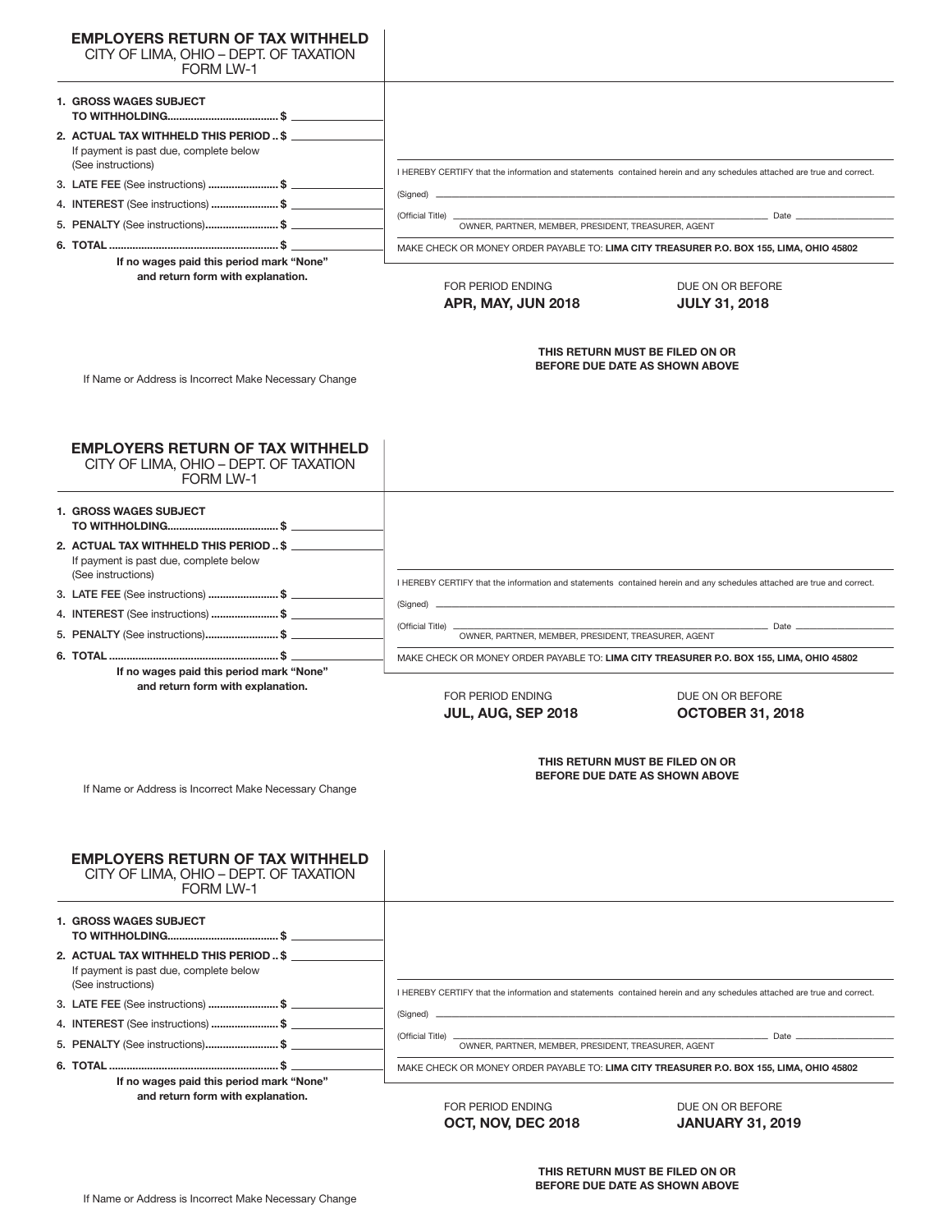| <b>EMPLOYERS RETURN OF TAX WITHHELD</b><br>CITY OF LIMA, OHIO - DEPT. OF TAXATION<br><b>FORM LW-1</b>  |                                                                                                                                                                                    |  |  |  |
|--------------------------------------------------------------------------------------------------------|------------------------------------------------------------------------------------------------------------------------------------------------------------------------------------|--|--|--|
| <b>1. GROSS WAGES SUBJECT</b>                                                                          |                                                                                                                                                                                    |  |  |  |
| 2. ACTUAL TAX WITHHELD THIS PERIOD  \$<br>If payment is past due, complete below                       |                                                                                                                                                                                    |  |  |  |
| (See instructions)                                                                                     | I HEREBY CERTIFY that the information and statements contained herein and any schedules attached are true and correct.                                                             |  |  |  |
| 3. LATE FEE (See instructions) \$                                                                      | (Signed) __                                                                                                                                                                        |  |  |  |
| 4. INTEREST (See instructions) \$                                                                      | (Official Title) _                                                                                                                                                                 |  |  |  |
| 5. PENALTY (See instructions)\$                                                                        | OWNER, PARTNER, MEMBER, PRESIDENT, TREASURER, AGENT                                                                                                                                |  |  |  |
|                                                                                                        | MAKE CHECK OR MONEY ORDER PAYABLE TO: LIMA CITY TREASURER P.O. BOX 155, LIMA, OHIO 45802                                                                                           |  |  |  |
| If no wages paid this period mark "None"<br>and return form with explanation.                          | FOR PERIOD ENDING<br>DUE ON OR BEFORE<br>APR, MAY, JUN 2018<br><b>JULY 31, 2018</b>                                                                                                |  |  |  |
| If Name or Address is Incorrect Make Necessary Change                                                  | THIS RETURN MUST BE FILED ON OR<br>BEFORE DUE DATE AS SHOWN ABOVE                                                                                                                  |  |  |  |
| <b>EMPLOYERS RETURN OF TAX WITHHELD</b><br>CITY OF LIMA, OHIO - DEPT. OF TAXATION<br>FORM LW-1         |                                                                                                                                                                                    |  |  |  |
| <b>1. GROSS WAGES SUBJECT</b>                                                                          |                                                                                                                                                                                    |  |  |  |
| 2. ACTUAL TAX WITHHELD THIS PERIOD  \$<br>If payment is past due, complete below                       |                                                                                                                                                                                    |  |  |  |
| (See instructions)<br>3. LATE FEE (See instructions) \$                                                | I HEREBY CERTIFY that the information and statements contained herein and any schedules attached are true and correct.                                                             |  |  |  |
|                                                                                                        | (Signed) ___                                                                                                                                                                       |  |  |  |
|                                                                                                        | (Official Title) __                                                                                                                                                                |  |  |  |
| 5. PENALTY (See instructions)\$                                                                        | OWNER, PARTNER, MEMBER, PRESIDENT, TREASURER, AGENT                                                                                                                                |  |  |  |
| If no wages paid this period mark "None"<br>and return form with explanation.                          | MAKE CHECK OR MONEY ORDER PAYABLE TO: LIMA CITY TREASURER P.O. BOX 155, LIMA, OHIO 45802<br>FOR PERIOD ENDING<br>DUE ON OR BEFORE<br>JUL, AUG, SEP 2018<br><b>OCTOBER 31, 2018</b> |  |  |  |
| If Name or Address is Incorrect Make Necessary Change                                                  | THIS RETURN MUST BE FILED ON OR<br>BEFORE DUE DATE AS SHOWN ABOVE                                                                                                                  |  |  |  |
| <b>EMPLOYERS RETURN OF TAX WITHHELD</b><br>CITY OF LIMA, OHIO - DEPT. OF TAXATION<br>FORM LW-1         |                                                                                                                                                                                    |  |  |  |
| <b>1. GROSS WAGES SUBJECT</b>                                                                          |                                                                                                                                                                                    |  |  |  |
| 2. ACTUAL TAX WITHHELD THIS PERIOD  \$<br>If payment is past due, complete below<br>(See instructions) | I HEREBY CERTIFY that the information and statements contained herein and any schedules attached are true and correct.                                                             |  |  |  |
| 3. LATE FEE (See instructions) \$                                                                      |                                                                                                                                                                                    |  |  |  |
| 4. INTEREST (See instructions) \$                                                                      | (Signed) _                                                                                                                                                                         |  |  |  |
|                                                                                                        | (Official Title) _<br>__ Date _<br>OWNER, PARTNER, MEMBER, PRESIDENT, TREASURER, AGENT                                                                                             |  |  |  |
|                                                                                                        | MAKE CHECK OR MONEY ORDER PAYABLE TO: LIMA CITY TREASURER P.O. BOX 155, LIMA, OHIO 45802                                                                                           |  |  |  |

**If no wages paid this period mark "None" and return form with explanation.**

FOR PERIOD ENDING DUE ON OR BEFORE **OCT, NOV, DEC 2018 JANUARY 31, 2019**

 $\overline{\phantom{a}}$